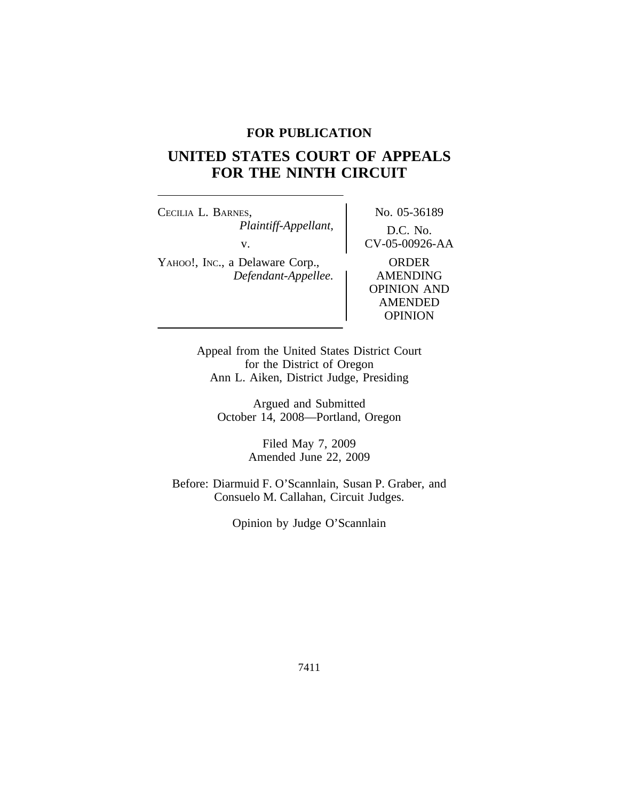# **FOR PUBLICATION**

# **UNITED STATES COURT OF APPEALS FOR THE NINTH CIRCUIT**

CECILIA L. BARNES, No. 05-36189 *Plaintiff-Appellant,* D.C. No. v. **CV-05-00926-AA** YAHOO!, INC., a Delaware Corp.,<br>Defendant-Appellee. AMENDING  $Define$ *Refendant-Appellee.* 

OPINION AND AMENDED OPINION

Appeal from the United States District Court for the District of Oregon Ann L. Aiken, District Judge, Presiding

Argued and Submitted October 14, 2008—Portland, Oregon

> Filed May 7, 2009 Amended June 22, 2009

Before: Diarmuid F. O'Scannlain, Susan P. Graber, and Consuelo M. Callahan, Circuit Judges.

Opinion by Judge O'Scannlain

7411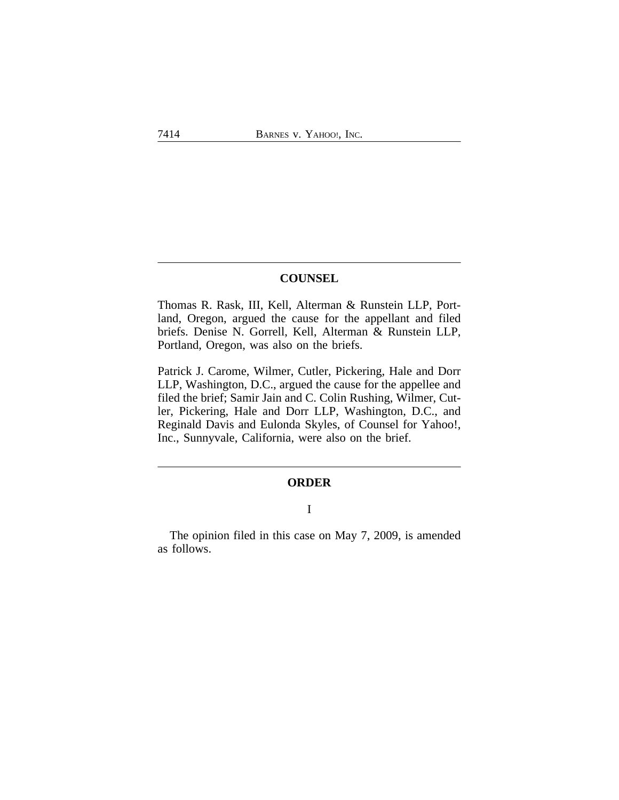# **COUNSEL**

Thomas R. Rask, III, Kell, Alterman & Runstein LLP, Portland, Oregon, argued the cause for the appellant and filed briefs. Denise N. Gorrell, Kell, Alterman & Runstein LLP, Portland, Oregon, was also on the briefs.

Patrick J. Carome, Wilmer, Cutler, Pickering, Hale and Dorr LLP, Washington, D.C., argued the cause for the appellee and filed the brief; Samir Jain and C. Colin Rushing, Wilmer, Cutler, Pickering, Hale and Dorr LLP, Washington, D.C., and Reginald Davis and Eulonda Skyles, of Counsel for Yahoo!, Inc., Sunnyvale, California, were also on the brief.

# **ORDER**

## I

The opinion filed in this case on May 7, 2009, is amended as follows.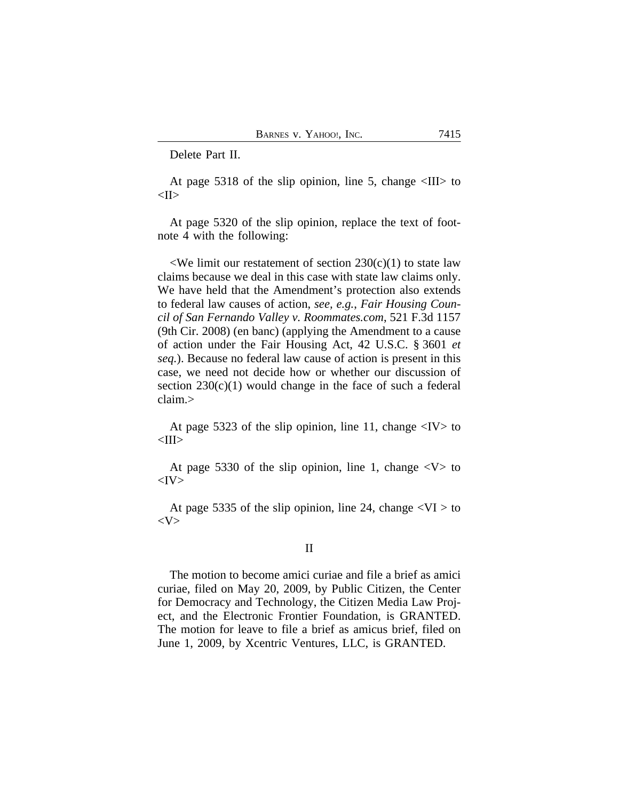Delete Part II.

At page 5318 of the slip opinion, line 5, change <III> to  $<$ II $>$ 

At page 5320 of the slip opinion, replace the text of footnote 4 with the following:

 $\langle$ We limit our restatement of section 230(c)(1) to state law claims because we deal in this case with state law claims only. We have held that the Amendment's protection also extends to federal law causes of action, *see, e.g.*, *Fair Housing Council of San Fernando Valley v. Roommates.com*, 521 F.3d 1157 (9th Cir. 2008) (en banc) (applying the Amendment to a cause of action under the Fair Housing Act, 42 U.S.C. § 3601 *et seq.*). Because no federal law cause of action is present in this case, we need not decide how or whether our discussion of section  $230(c)(1)$  would change in the face of such a federal claim.>

At page 5323 of the slip opinion, line 11, change  $\langle$  IV $>$  to <III>

At page 5330 of the slip opinion, line 1, change  $\langle V \rangle$  to  $<$ IV $>$ 

At page 5335 of the slip opinion, line 24, change  $\langle VI \rangle$  to  $<\vee>$ 

### II

The motion to become amici curiae and file a brief as amici curiae, filed on May 20, 2009, by Public Citizen, the Center for Democracy and Technology, the Citizen Media Law Project, and the Electronic Frontier Foundation, is GRANTED. The motion for leave to file a brief as amicus brief, filed on June 1, 2009, by Xcentric Ventures, LLC, is GRANTED.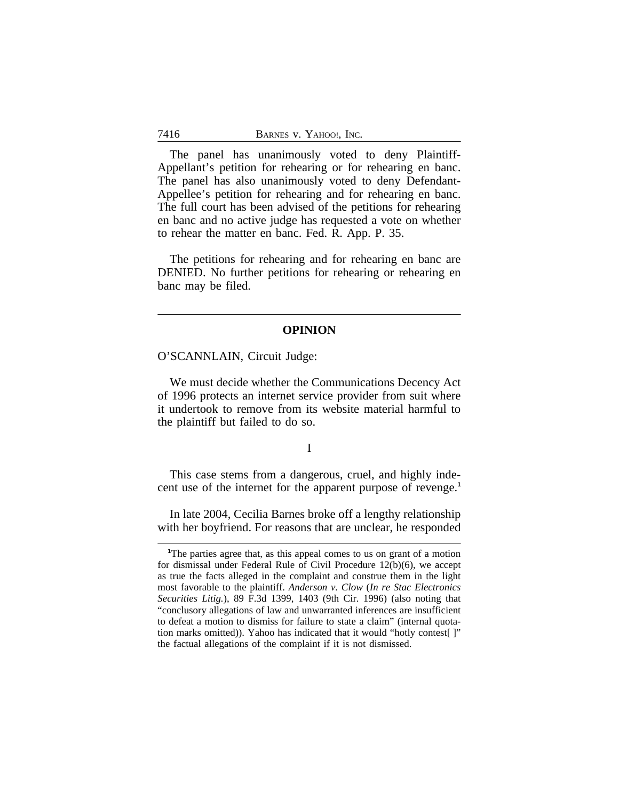The panel has unanimously voted to deny Plaintiff-Appellant's petition for rehearing or for rehearing en banc. The panel has also unanimously voted to deny Defendant-Appellee's petition for rehearing and for rehearing en banc. The full court has been advised of the petitions for rehearing en banc and no active judge has requested a vote on whether to rehear the matter en banc. Fed. R. App. P. 35.

The petitions for rehearing and for rehearing en banc are DENIED. No further petitions for rehearing or rehearing en banc may be filed.

#### **OPINION**

O'SCANNLAIN, Circuit Judge:

We must decide whether the Communications Decency Act of 1996 protects an internet service provider from suit where it undertook to remove from its website material harmful to the plaintiff but failed to do so.

I

This case stems from a dangerous, cruel, and highly indecent use of the internet for the apparent purpose of revenge.**<sup>1</sup>**

In late 2004, Cecilia Barnes broke off a lengthy relationship with her boyfriend. For reasons that are unclear, he responded

**<sup>1</sup>**The parties agree that, as this appeal comes to us on grant of a motion for dismissal under Federal Rule of Civil Procedure 12(b)(6), we accept as true the facts alleged in the complaint and construe them in the light most favorable to the plaintiff. *Anderson v. Clow* (*In re Stac Electronics Securities Litig.*), 89 F.3d 1399, 1403 (9th Cir. 1996) (also noting that "conclusory allegations of law and unwarranted inferences are insufficient to defeat a motion to dismiss for failure to state a claim" (internal quotation marks omitted)). Yahoo has indicated that it would "hotly contest[ ]" the factual allegations of the complaint if it is not dismissed.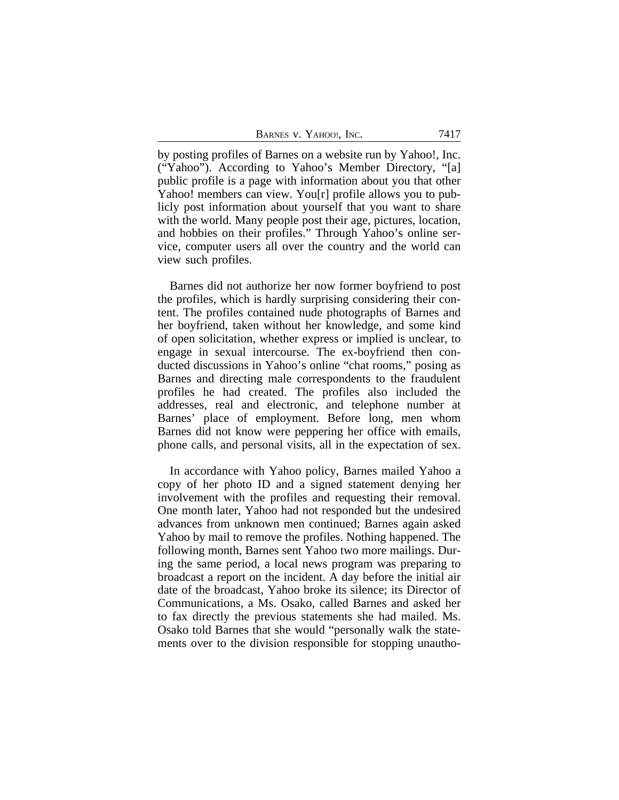| BARNES V. YAHOO!, INC. |  | 7417 |
|------------------------|--|------|
|------------------------|--|------|

by posting profiles of Barnes on a website run by Yahoo!, Inc. ("Yahoo"). According to Yahoo's Member Directory, "[a] public profile is a page with information about you that other Yahoo! members can view. You[r] profile allows you to publicly post information about yourself that you want to share with the world. Many people post their age, pictures, location, and hobbies on their profiles." Through Yahoo's online service, computer users all over the country and the world can view such profiles.

Barnes did not authorize her now former boyfriend to post the profiles, which is hardly surprising considering their content. The profiles contained nude photographs of Barnes and her boyfriend, taken without her knowledge, and some kind of open solicitation, whether express or implied is unclear, to engage in sexual intercourse. The ex-boyfriend then conducted discussions in Yahoo's online "chat rooms," posing as Barnes and directing male correspondents to the fraudulent profiles he had created. The profiles also included the addresses, real and electronic, and telephone number at Barnes' place of employment. Before long, men whom Barnes did not know were peppering her office with emails, phone calls, and personal visits, all in the expectation of sex.

In accordance with Yahoo policy, Barnes mailed Yahoo a copy of her photo ID and a signed statement denying her involvement with the profiles and requesting their removal. One month later, Yahoo had not responded but the undesired advances from unknown men continued; Barnes again asked Yahoo by mail to remove the profiles. Nothing happened. The following month, Barnes sent Yahoo two more mailings. During the same period, a local news program was preparing to broadcast a report on the incident. A day before the initial air date of the broadcast, Yahoo broke its silence; its Director of Communications, a Ms. Osako, called Barnes and asked her to fax directly the previous statements she had mailed. Ms. Osako told Barnes that she would "personally walk the statements over to the division responsible for stopping unautho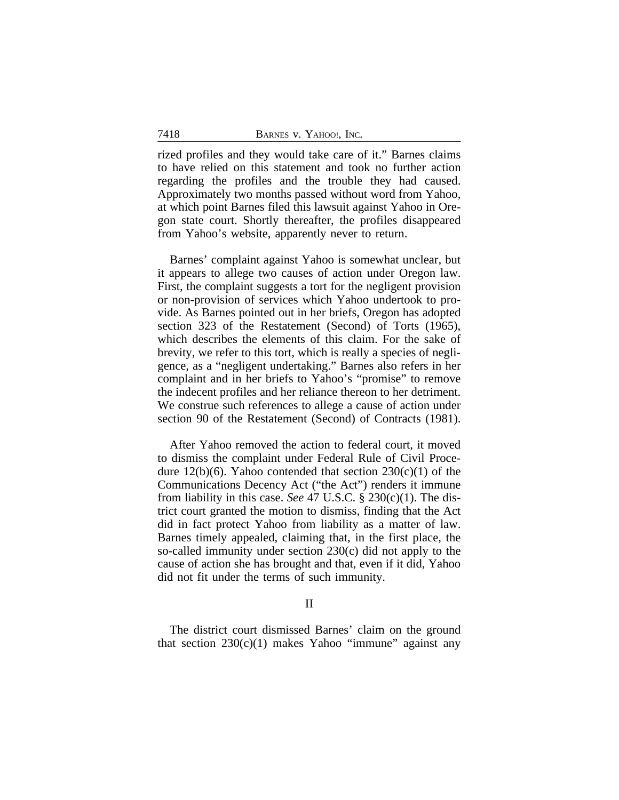rized profiles and they would take care of it." Barnes claims to have relied on this statement and took no further action regarding the profiles and the trouble they had caused. Approximately two months passed without word from Yahoo, at which point Barnes filed this lawsuit against Yahoo in Oregon state court. Shortly thereafter, the profiles disappeared from Yahoo's website, apparently never to return.

Barnes' complaint against Yahoo is somewhat unclear, but it appears to allege two causes of action under Oregon law. First, the complaint suggests a tort for the negligent provision or non-provision of services which Yahoo undertook to provide. As Barnes pointed out in her briefs, Oregon has adopted section 323 of the Restatement (Second) of Torts (1965), which describes the elements of this claim. For the sake of brevity, we refer to this tort, which is really a species of negligence, as a "negligent undertaking." Barnes also refers in her complaint and in her briefs to Yahoo's "promise" to remove the indecent profiles and her reliance thereon to her detriment. We construe such references to allege a cause of action under section 90 of the Restatement (Second) of Contracts (1981).

After Yahoo removed the action to federal court, it moved to dismiss the complaint under Federal Rule of Civil Procedure  $12(b)(6)$ . Yahoo contended that section  $230(c)(1)$  of the Communications Decency Act ("the Act") renders it immune from liability in this case. *See* 47 U.S.C. § 230(c)(1). The district court granted the motion to dismiss, finding that the Act did in fact protect Yahoo from liability as a matter of law. Barnes timely appealed, claiming that, in the first place, the so-called immunity under section 230(c) did not apply to the cause of action she has brought and that, even if it did, Yahoo did not fit under the terms of such immunity.

II

The district court dismissed Barnes' claim on the ground that section  $230(c)(1)$  makes Yahoo "immune" against any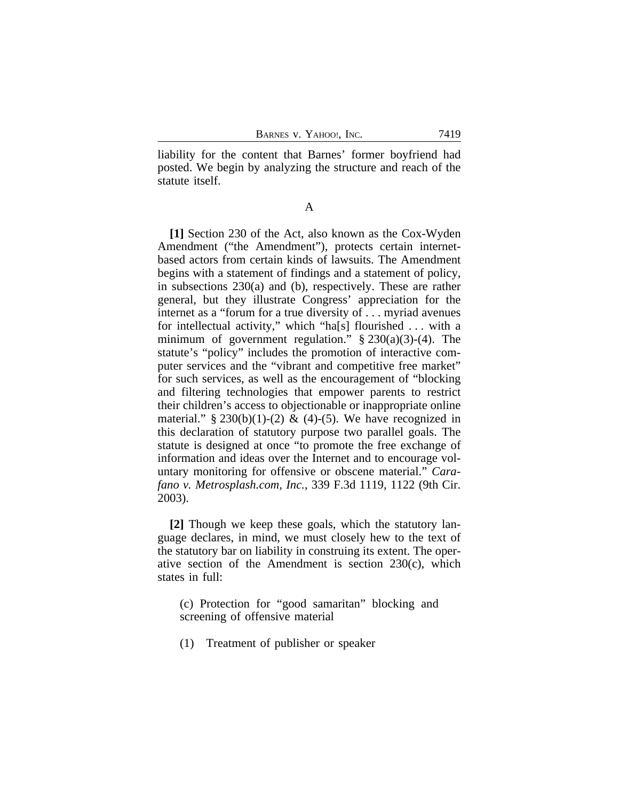liability for the content that Barnes' former boyfriend had posted. We begin by analyzing the structure and reach of the statute itself.

A

**[1]** Section 230 of the Act, also known as the Cox-Wyden Amendment ("the Amendment"), protects certain internetbased actors from certain kinds of lawsuits. The Amendment begins with a statement of findings and a statement of policy, in subsections 230(a) and (b), respectively. These are rather general, but they illustrate Congress' appreciation for the internet as a "forum for a true diversity of . . . myriad avenues for intellectual activity," which "ha[s] flourished . . . with a minimum of government regulation."  $\S 230(a)(3)-(4)$ . The statute's "policy" includes the promotion of interactive computer services and the "vibrant and competitive free market" for such services, as well as the encouragement of "blocking and filtering technologies that empower parents to restrict their children's access to objectionable or inappropriate online material." § 230(b)(1)-(2) & (4)-(5). We have recognized in this declaration of statutory purpose two parallel goals. The statute is designed at once "to promote the free exchange of information and ideas over the Internet and to encourage voluntary monitoring for offensive or obscene material." *Carafano v. Metrosplash.com, Inc.*, 339 F.3d 1119, 1122 (9th Cir. 2003).

**[2]** Though we keep these goals, which the statutory language declares, in mind, we must closely hew to the text of the statutory bar on liability in construing its extent. The operative section of the Amendment is section 230(c), which states in full:

(c) Protection for "good samaritan" blocking and screening of offensive material

(1) Treatment of publisher or speaker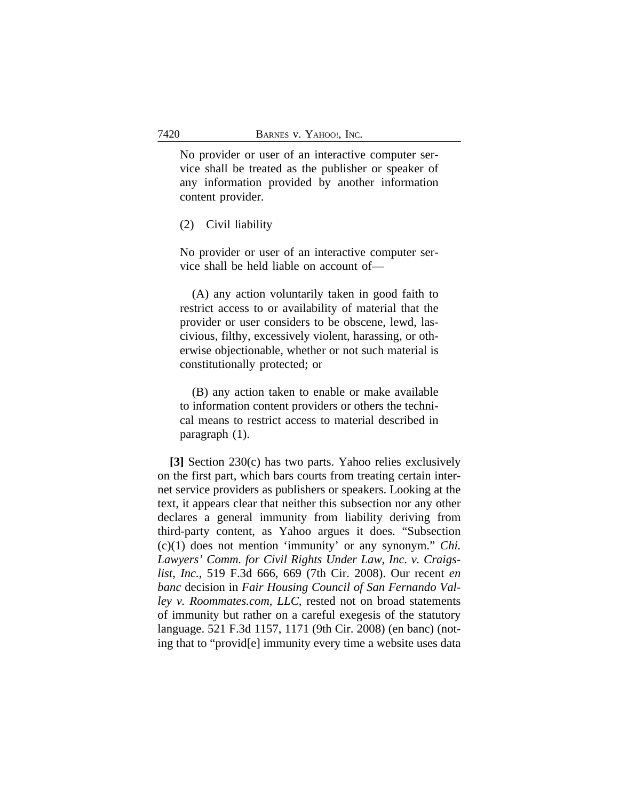No provider or user of an interactive computer service shall be treated as the publisher or speaker of any information provided by another information content provider.

(2) Civil liability

No provider or user of an interactive computer service shall be held liable on account of—

(A) any action voluntarily taken in good faith to restrict access to or availability of material that the provider or user considers to be obscene, lewd, lascivious, filthy, excessively violent, harassing, or otherwise objectionable, whether or not such material is constitutionally protected; or

(B) any action taken to enable or make available to information content providers or others the technical means to restrict access to material described in paragraph (1).

**[3]** Section 230(c) has two parts. Yahoo relies exclusively on the first part, which bars courts from treating certain internet service providers as publishers or speakers. Looking at the text, it appears clear that neither this subsection nor any other declares a general immunity from liability deriving from third-party content, as Yahoo argues it does. "Subsection (c)(1) does not mention 'immunity' or any synonym." *Chi. Lawyers' Comm. for Civil Rights Under Law, Inc. v. Craigslist, Inc.*, 519 F.3d 666, 669 (7th Cir. 2008). Our recent *en banc* decision in *Fair Housing Council of San Fernando Valley v. Roommates.com, LLC*, rested not on broad statements of immunity but rather on a careful exegesis of the statutory language. 521 F.3d 1157, 1171 (9th Cir. 2008) (en banc) (noting that to "provid[e] immunity every time a website uses data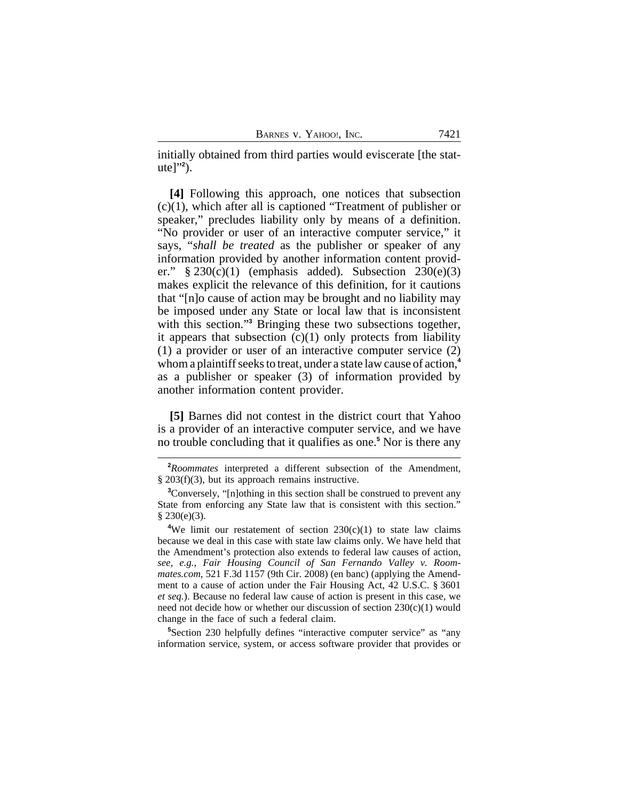initially obtained from third parties would eviscerate [the statute]"**<sup>2</sup>** ).

**[4]** Following this approach, one notices that subsection (c)(1), which after all is captioned "Treatment of publisher or speaker," precludes liability only by means of a definition. "No provider or user of an interactive computer service," it says, "*shall be treated* as the publisher or speaker of any information provided by another information content provider."  $§ 230(c)(1)$  (emphasis added). Subsection  $230(e)(3)$ makes explicit the relevance of this definition, for it cautions that "[n]o cause of action may be brought and no liability may be imposed under any State or local law that is inconsistent with this section." **3** Bringing these two subsections together, it appears that subsection  $(c)(1)$  only protects from liability (1) a provider or user of an interactive computer service (2) whom a plaintiff seeks to treat, under a state law cause of action,**<sup>4</sup>** as a publisher or speaker (3) of information provided by another information content provider.

**[5]** Barnes did not contest in the district court that Yahoo is a provider of an interactive computer service, and we have no trouble concluding that it qualifies as one.**<sup>5</sup>** Nor is there any

**<sup>5</sup>**Section 230 helpfully defines "interactive computer service" as "any information service, system, or access software provider that provides or

**<sup>2</sup>***Roommates* interpreted a different subsection of the Amendment, § 203(f)(3), but its approach remains instructive.

<sup>&</sup>lt;sup>3</sup>Conversely, "[n]othing in this section shall be construed to prevent any State from enforcing any State law that is consistent with this section." § 230(e)(3).

<sup>&</sup>lt;sup>4</sup>We limit our restatement of section  $230(c)(1)$  to state law claims because we deal in this case with state law claims only. We have held that the Amendment's protection also extends to federal law causes of action, *see, e.g.*, *Fair Housing Council of San Fernando Valley v. Roommates.com*, 521 F.3d 1157 (9th Cir. 2008) (en banc) (applying the Amendment to a cause of action under the Fair Housing Act, 42 U.S.C. § 3601 *et seq.*). Because no federal law cause of action is present in this case, we need not decide how or whether our discussion of section  $230(c)(1)$  would change in the face of such a federal claim.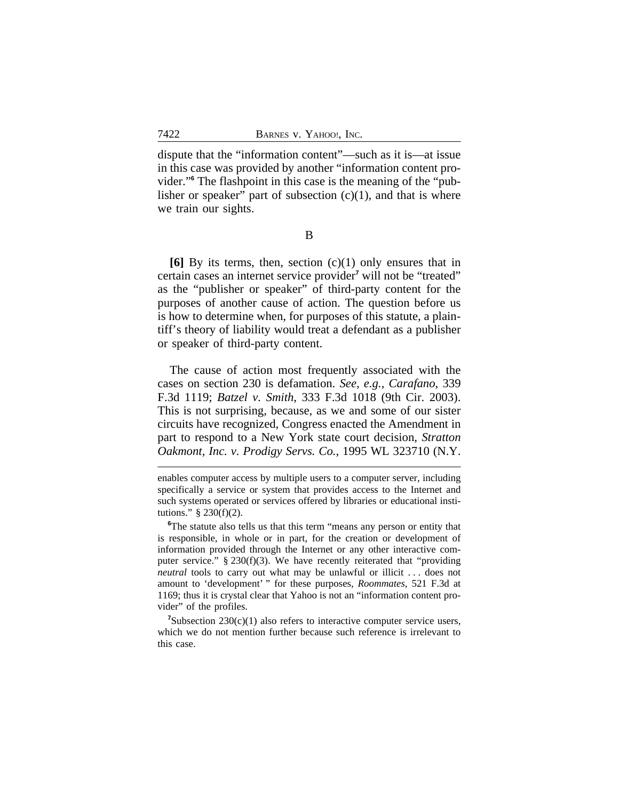dispute that the "information content"—such as it is—at issue in this case was provided by another "information content provider."**<sup>6</sup>** The flashpoint in this case is the meaning of the "publisher or speaker" part of subsection  $(c)(1)$ , and that is where we train our sights.

B

**[6]** By its terms, then, section (c)(1) only ensures that in certain cases an internet service provider**<sup>7</sup>** will not be "treated" as the "publisher or speaker" of third-party content for the purposes of another cause of action. The question before us is how to determine when, for purposes of this statute, a plaintiff's theory of liability would treat a defendant as a publisher or speaker of third-party content.

The cause of action most frequently associated with the cases on section 230 is defamation. *See, e.g., Carafano*, 339 F.3d 1119; *Batzel v. Smith*, 333 F.3d 1018 (9th Cir. 2003). This is not surprising, because, as we and some of our sister circuits have recognized, Congress enacted the Amendment in part to respond to a New York state court decision, *Stratton Oakmont, Inc. v. Prodigy Servs. Co.*, 1995 WL 323710 (N.Y.

<sup>7</sup>Subsection  $230(c)(1)$  also refers to interactive computer service users, which we do not mention further because such reference is irrelevant to this case.

enables computer access by multiple users to a computer server, including specifically a service or system that provides access to the Internet and such systems operated or services offered by libraries or educational institutions." § 230(f)(2).

**<sup>6</sup>**The statute also tells us that this term "means any person or entity that is responsible, in whole or in part, for the creation or development of information provided through the Internet or any other interactive computer service." § 230(f)(3). We have recently reiterated that "providing *neutral* tools to carry out what may be unlawful or illicit . . . does not amount to 'development' " for these purposes, *Roommates*, 521 F.3d at 1169; thus it is crystal clear that Yahoo is not an "information content provider" of the profiles.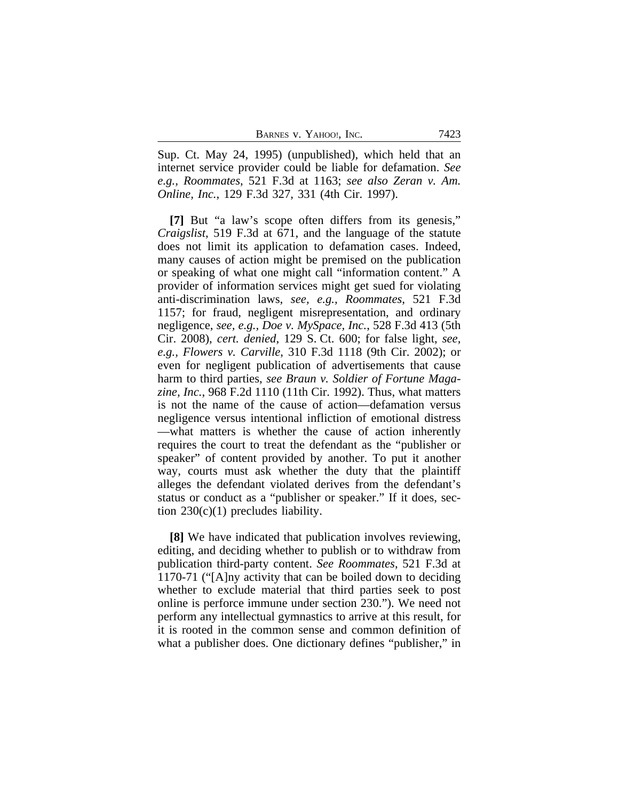| BARNES V. YAHOO!, INC. |  | 7423 |
|------------------------|--|------|
|------------------------|--|------|

Sup. Ct. May 24, 1995) (unpublished), which held that an internet service provider could be liable for defamation. *See e.g., Roommates*, 521 F.3d at 1163; *see also Zeran v. Am. Online, Inc.*, 129 F.3d 327, 331 (4th Cir. 1997).

**[7]** But "a law's scope often differs from its genesis," *Craigslist*, 519 F.3d at 671, and the language of the statute does not limit its application to defamation cases. Indeed, many causes of action might be premised on the publication or speaking of what one might call "information content." A provider of information services might get sued for violating anti-discrimination laws, *see, e.g., Roommates*, 521 F.3d 1157; for fraud, negligent misrepresentation, and ordinary negligence, *see, e.g., Doe v. MySpace, Inc.*, 528 F.3d 413 (5th Cir. 2008), *cert. denied*, 129 S. Ct. 600; for false light, *see, e.g., Flowers v. Carville*, 310 F.3d 1118 (9th Cir. 2002); or even for negligent publication of advertisements that cause harm to third parties, *see Braun v. Soldier of Fortune Magazine, Inc.*, 968 F.2d 1110 (11th Cir. 1992). Thus, what matters is not the name of the cause of action—defamation versus negligence versus intentional infliction of emotional distress —what matters is whether the cause of action inherently requires the court to treat the defendant as the "publisher or speaker" of content provided by another. To put it another way, courts must ask whether the duty that the plaintiff alleges the defendant violated derives from the defendant's status or conduct as a "publisher or speaker." If it does, section  $230(c)(1)$  precludes liability.

**[8]** We have indicated that publication involves reviewing, editing, and deciding whether to publish or to withdraw from publication third-party content. *See Roommates*, 521 F.3d at 1170-71 ("[A]ny activity that can be boiled down to deciding whether to exclude material that third parties seek to post online is perforce immune under section 230."). We need not perform any intellectual gymnastics to arrive at this result, for it is rooted in the common sense and common definition of what a publisher does. One dictionary defines "publisher," in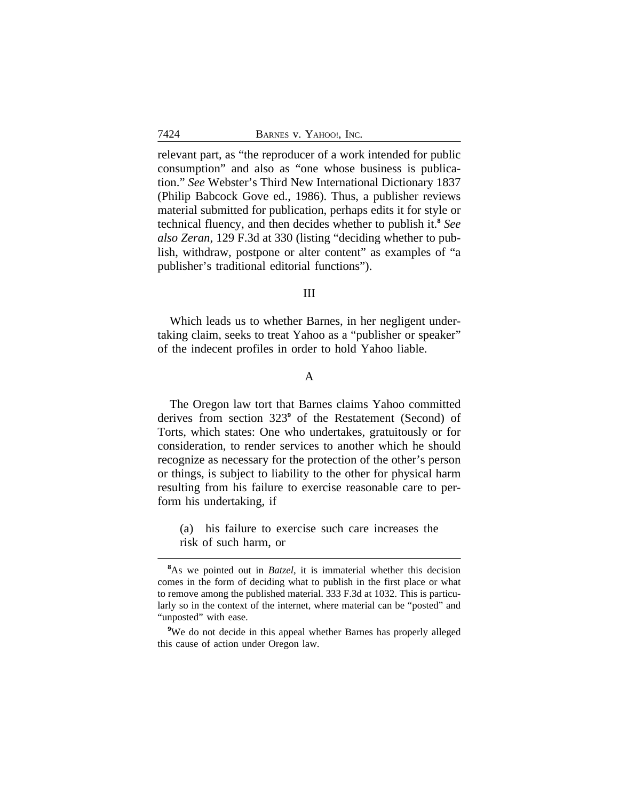relevant part, as "the reproducer of a work intended for public consumption" and also as "one whose business is publication." *See* Webster's Third New International Dictionary 1837 (Philip Babcock Gove ed., 1986). Thus, a publisher reviews material submitted for publication, perhaps edits it for style or technical fluency, and then decides whether to publish it.**<sup>8</sup>** *See also Zeran*, 129 F.3d at 330 (listing "deciding whether to publish, withdraw, postpone or alter content" as examples of "a publisher's traditional editorial functions").

## III

Which leads us to whether Barnes, in her negligent undertaking claim, seeks to treat Yahoo as a "publisher or speaker" of the indecent profiles in order to hold Yahoo liable.

## A

The Oregon law tort that Barnes claims Yahoo committed derives from section 323**<sup>9</sup>** of the Restatement (Second) of Torts, which states: One who undertakes, gratuitously or for consideration, to render services to another which he should recognize as necessary for the protection of the other's person or things, is subject to liability to the other for physical harm resulting from his failure to exercise reasonable care to perform his undertaking, if

(a) his failure to exercise such care increases the risk of such harm, or

**<sup>8</sup>**As we pointed out in *Batzel*, it is immaterial whether this decision comes in the form of deciding what to publish in the first place or what to remove among the published material. 333 F.3d at 1032. This is particularly so in the context of the internet, where material can be "posted" and "unposted" with ease.

<sup>&</sup>lt;sup>9</sup>We do not decide in this appeal whether Barnes has properly alleged this cause of action under Oregon law.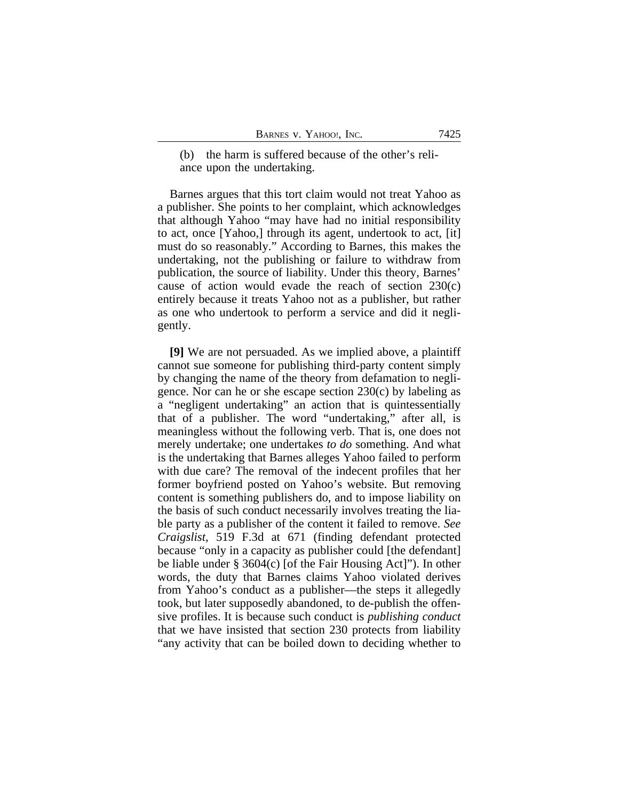(b) the harm is suffered because of the other's reliance upon the undertaking.

Barnes argues that this tort claim would not treat Yahoo as a publisher. She points to her complaint, which acknowledges that although Yahoo "may have had no initial responsibility to act, once [Yahoo,] through its agent, undertook to act, [it] must do so reasonably." According to Barnes, this makes the undertaking, not the publishing or failure to withdraw from publication, the source of liability. Under this theory, Barnes' cause of action would evade the reach of section 230(c) entirely because it treats Yahoo not as a publisher, but rather as one who undertook to perform a service and did it negligently.

**[9]** We are not persuaded. As we implied above, a plaintiff cannot sue someone for publishing third-party content simply by changing the name of the theory from defamation to negligence. Nor can he or she escape section 230(c) by labeling as a "negligent undertaking" an action that is quintessentially that of a publisher. The word "undertaking," after all, is meaningless without the following verb. That is, one does not merely undertake; one undertakes *to do* something. And what is the undertaking that Barnes alleges Yahoo failed to perform with due care? The removal of the indecent profiles that her former boyfriend posted on Yahoo's website. But removing content is something publishers do, and to impose liability on the basis of such conduct necessarily involves treating the liable party as a publisher of the content it failed to remove. *See Craigslist*, 519 F.3d at 671 (finding defendant protected because "only in a capacity as publisher could [the defendant] be liable under § 3604(c) [of the Fair Housing Act]"). In other words, the duty that Barnes claims Yahoo violated derives from Yahoo's conduct as a publisher—the steps it allegedly took, but later supposedly abandoned, to de-publish the offensive profiles. It is because such conduct is *publishing conduct* that we have insisted that section 230 protects from liability "any activity that can be boiled down to deciding whether to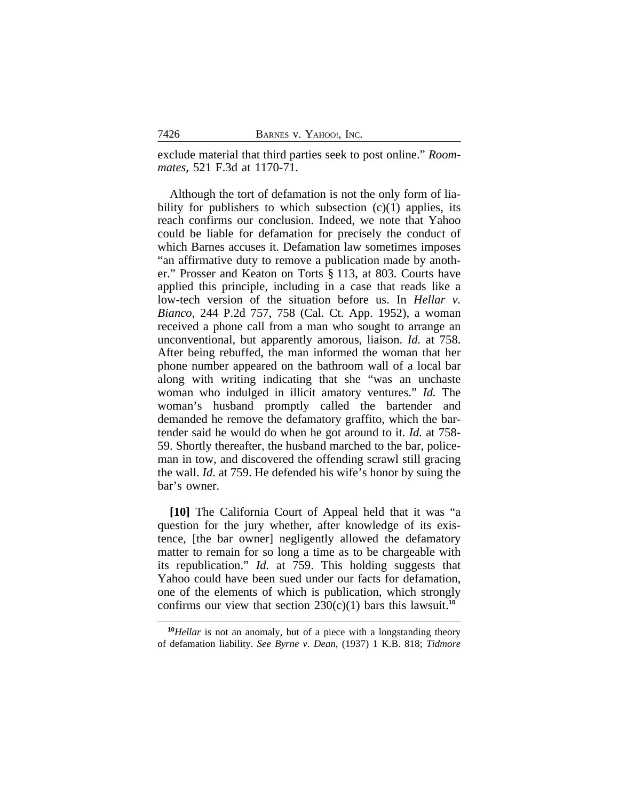exclude material that third parties seek to post online." *Roommates*, 521 F.3d at 1170-71.

Although the tort of defamation is not the only form of liability for publishers to which subsection  $(c)(1)$  applies, its reach confirms our conclusion. Indeed, we note that Yahoo could be liable for defamation for precisely the conduct of which Barnes accuses it. Defamation law sometimes imposes "an affirmative duty to remove a publication made by another." Prosser and Keaton on Torts § 113, at 803. Courts have applied this principle, including in a case that reads like a low-tech version of the situation before us. In *Hellar v. Bianco*, 244 P.2d 757, 758 (Cal. Ct. App. 1952), a woman received a phone call from a man who sought to arrange an unconventional, but apparently amorous, liaison. *Id.* at 758. After being rebuffed, the man informed the woman that her phone number appeared on the bathroom wall of a local bar along with writing indicating that she "was an unchaste woman who indulged in illicit amatory ventures." *Id.* The woman's husband promptly called the bartender and demanded he remove the defamatory graffito, which the bartender said he would do when he got around to it. *Id.* at 758- 59. Shortly thereafter, the husband marched to the bar, policeman in tow, and discovered the offending scrawl still gracing the wall. *Id*. at 759. He defended his wife's honor by suing the bar's owner.

**[10]** The California Court of Appeal held that it was "a question for the jury whether, after knowledge of its existence, [the bar owner] negligently allowed the defamatory matter to remain for so long a time as to be chargeable with its republication." *Id.* at 759. This holding suggests that Yahoo could have been sued under our facts for defamation, one of the elements of which is publication, which strongly confirms our view that section  $230(c)(1)$  bars this lawsuit.<sup>10</sup>

**<sup>10</sup>***Hellar* is not an anomaly, but of a piece with a longstanding theory of defamation liability. *See Byrne v. Dean*, (1937) 1 K.B. 818; *Tidmore*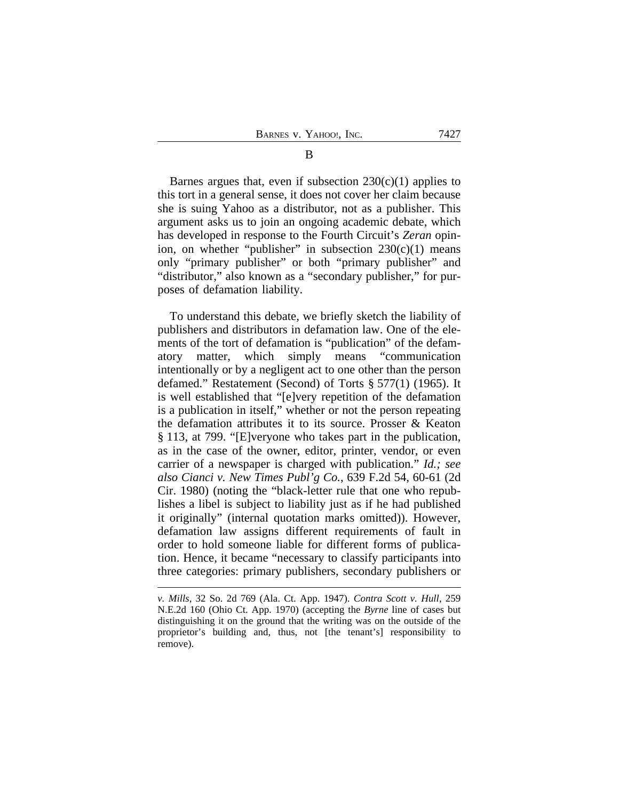Barnes argues that, even if subsection  $230(c)(1)$  applies to this tort in a general sense, it does not cover her claim because she is suing Yahoo as a distributor, not as a publisher. This argument asks us to join an ongoing academic debate, which has developed in response to the Fourth Circuit's *Zeran* opinion, on whether "publisher" in subsection  $230(c)(1)$  means only "primary publisher" or both "primary publisher" and "distributor," also known as a "secondary publisher," for purposes of defamation liability.

To understand this debate, we briefly sketch the liability of publishers and distributors in defamation law. One of the elements of the tort of defamation is "publication" of the defamatory matter, which simply means "communication intentionally or by a negligent act to one other than the person defamed." Restatement (Second) of Torts § 577(1) (1965). It is well established that "[e]very repetition of the defamation is a publication in itself," whether or not the person repeating the defamation attributes it to its source. Prosser & Keaton § 113, at 799. "[E]veryone who takes part in the publication, as in the case of the owner, editor, printer, vendor, or even carrier of a newspaper is charged with publication." *Id.; see also Cianci v. New Times Publ'g Co.*, 639 F.2d 54, 60-61 (2d Cir. 1980) (noting the "black-letter rule that one who republishes a libel is subject to liability just as if he had published it originally" (internal quotation marks omitted)). However, defamation law assigns different requirements of fault in order to hold someone liable for different forms of publication. Hence, it became "necessary to classify participants into three categories: primary publishers, secondary publishers or

## B

*v. Mills*, 32 So. 2d 769 (Ala. Ct. App. 1947). *Contra Scott v. Hull*, 259 N.E.2d 160 (Ohio Ct. App. 1970) (accepting the *Byrne* line of cases but distinguishing it on the ground that the writing was on the outside of the proprietor's building and, thus, not [the tenant's] responsibility to remove).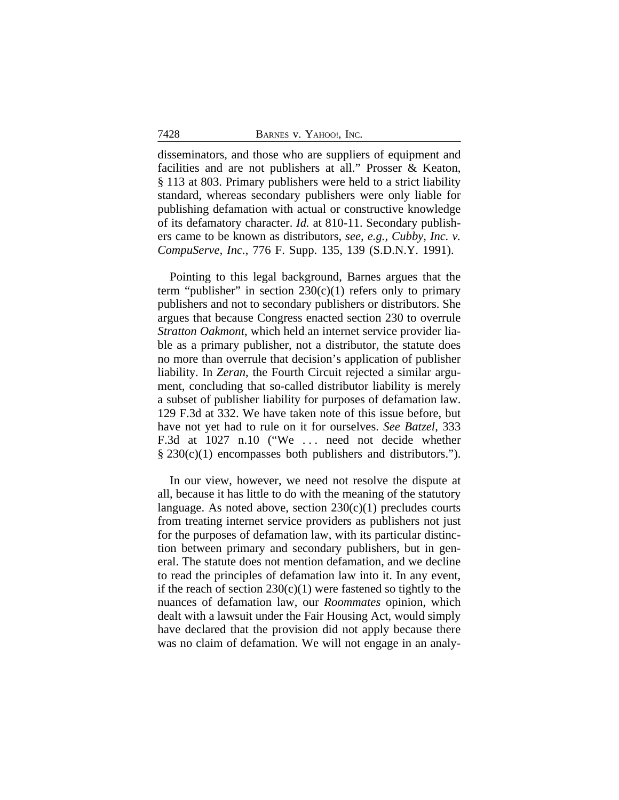disseminators, and those who are suppliers of equipment and facilities and are not publishers at all." Prosser & Keaton, § 113 at 803. Primary publishers were held to a strict liability standard, whereas secondary publishers were only liable for publishing defamation with actual or constructive knowledge of its defamatory character. *Id.* at 810-11. Secondary publishers came to be known as distributors, *see, e.g., Cubby, Inc. v. CompuServe, Inc.*, 776 F. Supp. 135, 139 (S.D.N.Y. 1991).

Pointing to this legal background, Barnes argues that the term "publisher" in section  $230(c)(1)$  refers only to primary publishers and not to secondary publishers or distributors. She argues that because Congress enacted section 230 to overrule *Stratton Oakmont*, which held an internet service provider liable as a primary publisher, not a distributor, the statute does no more than overrule that decision's application of publisher liability. In *Zeran*, the Fourth Circuit rejected a similar argument, concluding that so-called distributor liability is merely a subset of publisher liability for purposes of defamation law. 129 F.3d at 332. We have taken note of this issue before, but have not yet had to rule on it for ourselves. *See Batzel*, 333 F.3d at 1027 n.10 ("We ... need not decide whether § 230(c)(1) encompasses both publishers and distributors.").

In our view, however, we need not resolve the dispute at all, because it has little to do with the meaning of the statutory language. As noted above, section  $230(c)(1)$  precludes courts from treating internet service providers as publishers not just for the purposes of defamation law, with its particular distinction between primary and secondary publishers, but in general. The statute does not mention defamation, and we decline to read the principles of defamation law into it. In any event, if the reach of section  $230(c)(1)$  were fastened so tightly to the nuances of defamation law, our *Roommates* opinion, which dealt with a lawsuit under the Fair Housing Act, would simply have declared that the provision did not apply because there was no claim of defamation. We will not engage in an analy-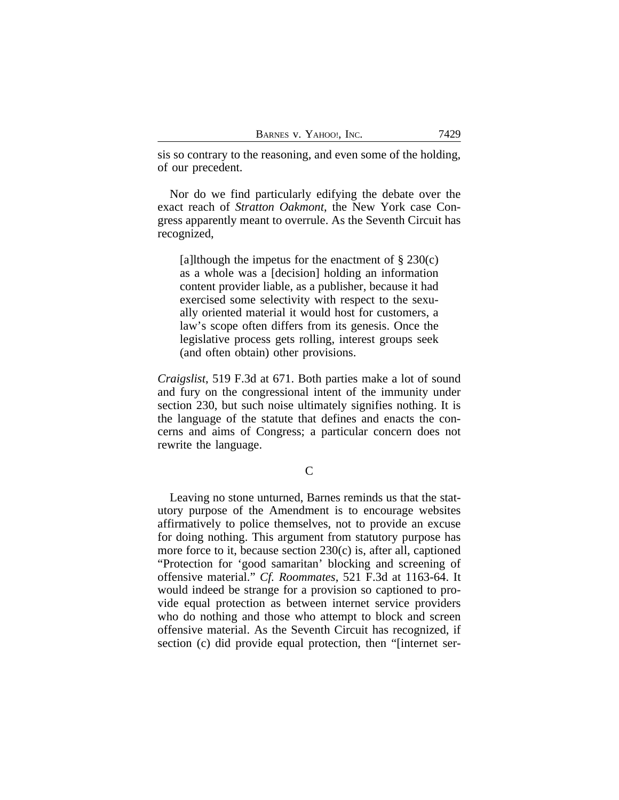sis so contrary to the reasoning, and even some of the holding, of our precedent.

Nor do we find particularly edifying the debate over the exact reach of *Stratton Oakmont*, the New York case Congress apparently meant to overrule. As the Seventh Circuit has recognized,

[a]lthough the impetus for the enactment of  $\S 230(c)$ as a whole was a [decision] holding an information content provider liable, as a publisher, because it had exercised some selectivity with respect to the sexually oriented material it would host for customers, a law's scope often differs from its genesis. Once the legislative process gets rolling, interest groups seek (and often obtain) other provisions.

*Craigslist*, 519 F.3d at 671. Both parties make a lot of sound and fury on the congressional intent of the immunity under section 230, but such noise ultimately signifies nothing. It is the language of the statute that defines and enacts the concerns and aims of Congress; a particular concern does not rewrite the language.

#### C

Leaving no stone unturned, Barnes reminds us that the statutory purpose of the Amendment is to encourage websites affirmatively to police themselves, not to provide an excuse for doing nothing. This argument from statutory purpose has more force to it, because section 230(c) is, after all, captioned "Protection for 'good samaritan' blocking and screening of offensive material." *Cf. Roommates*, 521 F.3d at 1163-64. It would indeed be strange for a provision so captioned to provide equal protection as between internet service providers who do nothing and those who attempt to block and screen offensive material. As the Seventh Circuit has recognized, if section (c) did provide equal protection, then "[internet ser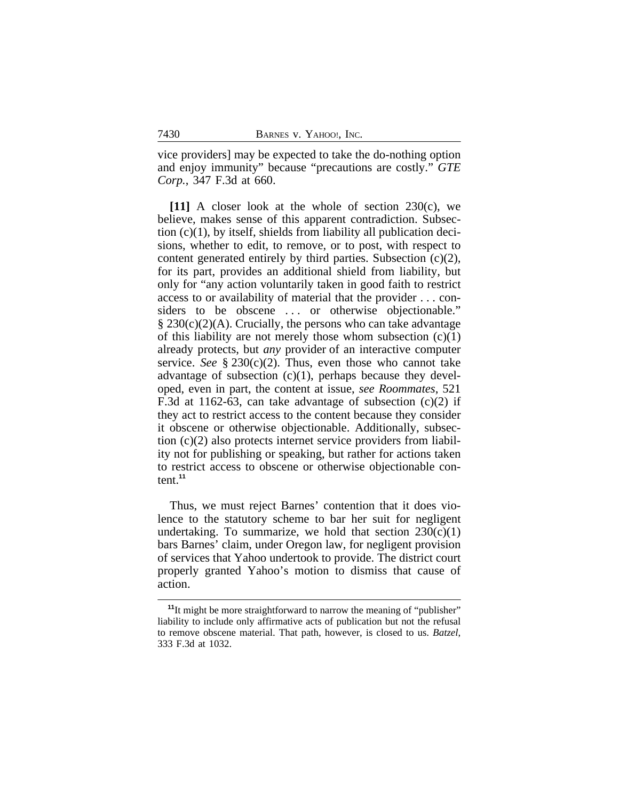vice providers] may be expected to take the do-nothing option and enjoy immunity" because "precautions are costly." *GTE Corp.*, 347 F.3d at 660.

**[11]** A closer look at the whole of section 230(c), we believe, makes sense of this apparent contradiction. Subsection (c)(1), by itself, shields from liability all publication decisions, whether to edit, to remove, or to post, with respect to content generated entirely by third parties. Subsection (c)(2), for its part, provides an additional shield from liability, but only for "any action voluntarily taken in good faith to restrict access to or availability of material that the provider . . . considers to be obscene ... or otherwise objectionable." § 230(c)(2)(A). Crucially, the persons who can take advantage of this liability are not merely those whom subsection  $(c)(1)$ already protects, but *any* provider of an interactive computer service. *See* § 230(c)(2). Thus, even those who cannot take advantage of subsection  $(c)(1)$ , perhaps because they developed, even in part, the content at issue, *see Roommates*, 521 F.3d at 1162-63, can take advantage of subsection (c)(2) if they act to restrict access to the content because they consider it obscene or otherwise objectionable. Additionally, subsection (c)(2) also protects internet service providers from liability not for publishing or speaking, but rather for actions taken to restrict access to obscene or otherwise objectionable content.**<sup>11</sup>**

Thus, we must reject Barnes' contention that it does violence to the statutory scheme to bar her suit for negligent undertaking. To summarize, we hold that section  $230(c)(1)$ bars Barnes' claim, under Oregon law, for negligent provision of services that Yahoo undertook to provide. The district court properly granted Yahoo's motion to dismiss that cause of action.

<sup>&</sup>lt;sup>11</sup>It might be more straightforward to narrow the meaning of "publisher" liability to include only affirmative acts of publication but not the refusal to remove obscene material. That path, however, is closed to us. *Batzel*, 333 F.3d at 1032.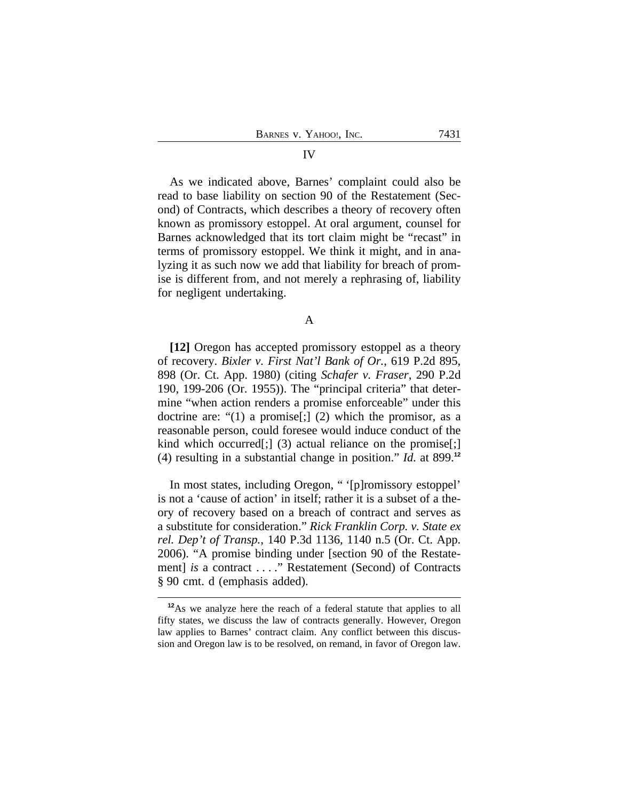#### IV

As we indicated above, Barnes' complaint could also be read to base liability on section 90 of the Restatement (Second) of Contracts, which describes a theory of recovery often known as promissory estoppel. At oral argument, counsel for Barnes acknowledged that its tort claim might be "recast" in terms of promissory estoppel. We think it might, and in analyzing it as such now we add that liability for breach of promise is different from, and not merely a rephrasing of, liability for negligent undertaking.

#### A

**[12]** Oregon has accepted promissory estoppel as a theory of recovery. *Bixler v. First Nat'l Bank of Or.*, 619 P.2d 895, 898 (Or. Ct. App. 1980) (citing *Schafer v. Fraser*, 290 P.2d 190, 199-206 (Or. 1955)). The "principal criteria" that determine "when action renders a promise enforceable" under this doctrine are: " $(1)$  a promise[;]  $(2)$  which the promisor, as a reasonable person, could foresee would induce conduct of the kind which occurred[;] (3) actual reliance on the promise[;] (4) resulting in a substantial change in position." *Id.* at 899.**<sup>12</sup>**

In most states, including Oregon, " '[p]romissory estoppel' is not a 'cause of action' in itself; rather it is a subset of a theory of recovery based on a breach of contract and serves as a substitute for consideration." *Rick Franklin Corp. v. State ex rel. Dep't of Transp.*, 140 P.3d 1136, 1140 n.5 (Or. Ct. App. 2006). "A promise binding under [section 90 of the Restatement] *is* a contract . . . ." Restatement (Second) of Contracts § 90 cmt. d (emphasis added).

**<sup>12</sup>**As we analyze here the reach of a federal statute that applies to all fifty states, we discuss the law of contracts generally. However, Oregon law applies to Barnes' contract claim. Any conflict between this discussion and Oregon law is to be resolved, on remand, in favor of Oregon law.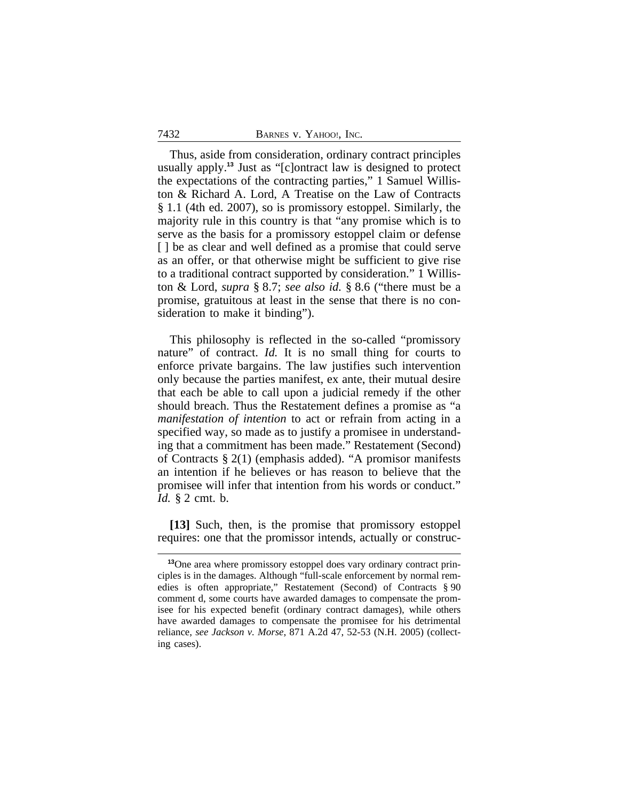Thus, aside from consideration, ordinary contract principles usually apply.**<sup>13</sup>** Just as "[c]ontract law is designed to protect the expectations of the contracting parties," 1 Samuel Williston & Richard A. Lord, A Treatise on the Law of Contracts § 1.1 (4th ed. 2007), so is promissory estoppel. Similarly, the majority rule in this country is that "any promise which is to serve as the basis for a promissory estoppel claim or defense [ ] be as clear and well defined as a promise that could serve as an offer, or that otherwise might be sufficient to give rise to a traditional contract supported by consideration." 1 Williston & Lord, *supra* § 8.7; *see also id.* § 8.6 ("there must be a promise, gratuitous at least in the sense that there is no consideration to make it binding").

This philosophy is reflected in the so-called "promissory nature" of contract. *Id.* It is no small thing for courts to enforce private bargains. The law justifies such intervention only because the parties manifest, ex ante, their mutual desire that each be able to call upon a judicial remedy if the other should breach. Thus the Restatement defines a promise as "a *manifestation of intention* to act or refrain from acting in a specified way, so made as to justify a promisee in understanding that a commitment has been made." Restatement (Second) of Contracts § 2(1) (emphasis added). "A promisor manifests an intention if he believes or has reason to believe that the promisee will infer that intention from his words or conduct." *Id.* § 2 cmt. b.

**[13]** Such, then, is the promise that promissory estoppel requires: one that the promissor intends, actually or construc-

**<sup>13</sup>**One area where promissory estoppel does vary ordinary contract principles is in the damages. Although "full-scale enforcement by normal remedies is often appropriate," Restatement (Second) of Contracts § 90 comment d, some courts have awarded damages to compensate the promisee for his expected benefit (ordinary contract damages), while others have awarded damages to compensate the promisee for his detrimental reliance, *see Jackson v. Morse*, 871 A.2d 47, 52-53 (N.H. 2005) (collecting cases).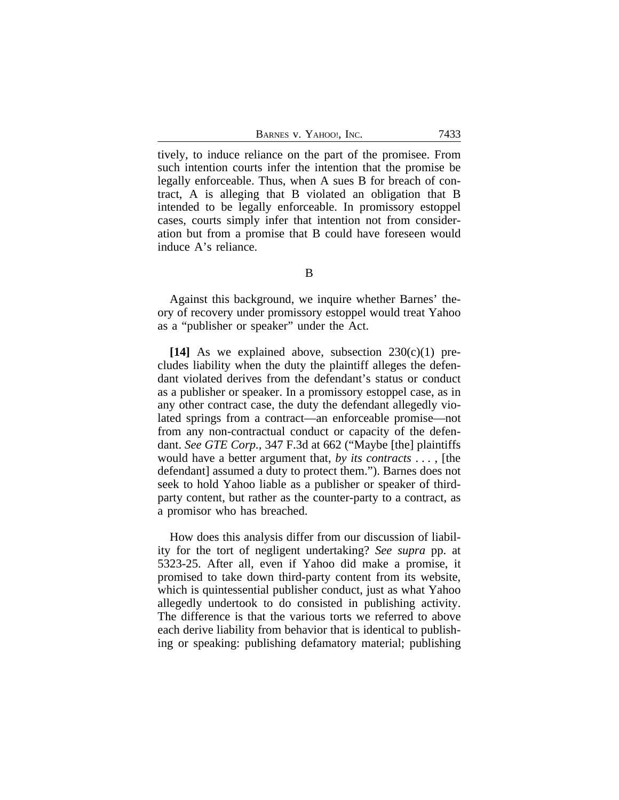BARNES V. YAHOO!, INC. 7433

tively, to induce reliance on the part of the promisee. From such intention courts infer the intention that the promise be legally enforceable. Thus, when A sues B for breach of contract, A is alleging that B violated an obligation that B intended to be legally enforceable. In promissory estoppel cases, courts simply infer that intention not from consideration but from a promise that B could have foreseen would induce A's reliance.

Against this background, we inquire whether Barnes' theory of recovery under promissory estoppel would treat Yahoo as a "publisher or speaker" under the Act.

**[14]** As we explained above, subsection 230(c)(1) precludes liability when the duty the plaintiff alleges the defendant violated derives from the defendant's status or conduct as a publisher or speaker. In a promissory estoppel case, as in any other contract case, the duty the defendant allegedly violated springs from a contract—an enforceable promise—not from any non-contractual conduct or capacity of the defendant. *See GTE Corp.*, 347 F.3d at 662 ("Maybe [the] plaintiffs would have a better argument that, *by its contracts* . . . , [the defendant] assumed a duty to protect them."). Barnes does not seek to hold Yahoo liable as a publisher or speaker of thirdparty content, but rather as the counter-party to a contract, as a promisor who has breached.

How does this analysis differ from our discussion of liability for the tort of negligent undertaking? *See supra* pp. at 5323-25. After all, even if Yahoo did make a promise, it promised to take down third-party content from its website, which is quintessential publisher conduct, just as what Yahoo allegedly undertook to do consisted in publishing activity. The difference is that the various torts we referred to above each derive liability from behavior that is identical to publishing or speaking: publishing defamatory material; publishing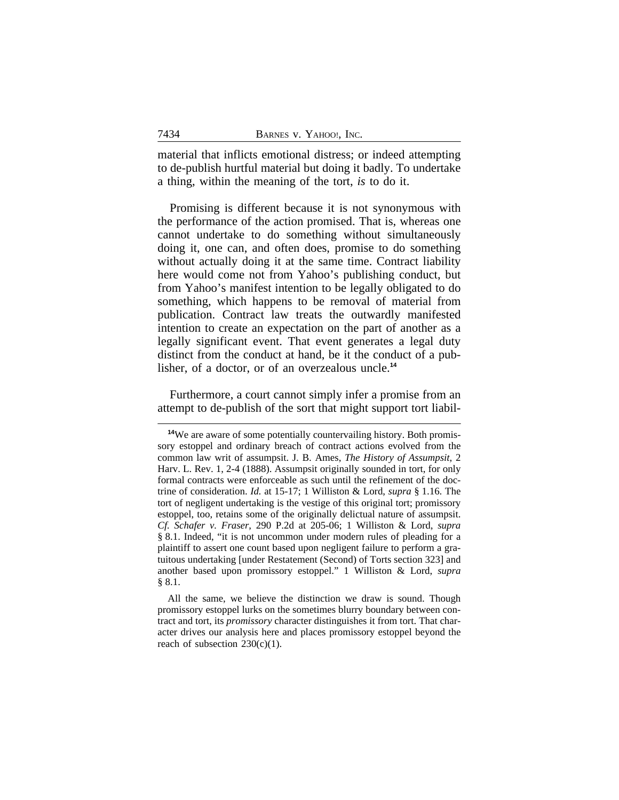material that inflicts emotional distress; or indeed attempting to de-publish hurtful material but doing it badly. To undertake a thing, within the meaning of the tort, *is* to do it.

Promising is different because it is not synonymous with the performance of the action promised. That is, whereas one cannot undertake to do something without simultaneously doing it, one can, and often does, promise to do something without actually doing it at the same time. Contract liability here would come not from Yahoo's publishing conduct, but from Yahoo's manifest intention to be legally obligated to do something, which happens to be removal of material from publication. Contract law treats the outwardly manifested intention to create an expectation on the part of another as a legally significant event. That event generates a legal duty distinct from the conduct at hand, be it the conduct of a publisher, of a doctor, or of an overzealous uncle.<sup>14</sup>

Furthermore, a court cannot simply infer a promise from an attempt to de-publish of the sort that might support tort liabil-

**<sup>14</sup>**We are aware of some potentially countervailing history. Both promissory estoppel and ordinary breach of contract actions evolved from the common law writ of assumpsit. J. B. Ames, *The History of Assumpsit*, 2 Harv. L. Rev. 1, 2-4 (1888). Assumpsit originally sounded in tort, for only formal contracts were enforceable as such until the refinement of the doctrine of consideration. *Id.* at 15-17; 1 Williston & Lord, *supra* § 1.16. The tort of negligent undertaking is the vestige of this original tort; promissory estoppel, too, retains some of the originally delictual nature of assumpsit. *Cf. Schafer v. Fraser*, 290 P.2d at 205-06; 1 Williston & Lord, *supra* § 8.1. Indeed, "it is not uncommon under modern rules of pleading for a plaintiff to assert one count based upon negligent failure to perform a gratuitous undertaking [under Restatement (Second) of Torts section 323] and another based upon promissory estoppel." 1 Williston & Lord, *supra* § 8.1.

All the same, we believe the distinction we draw is sound. Though promissory estoppel lurks on the sometimes blurry boundary between contract and tort, its *promissory* character distinguishes it from tort. That character drives our analysis here and places promissory estoppel beyond the reach of subsection  $230(c)(1)$ .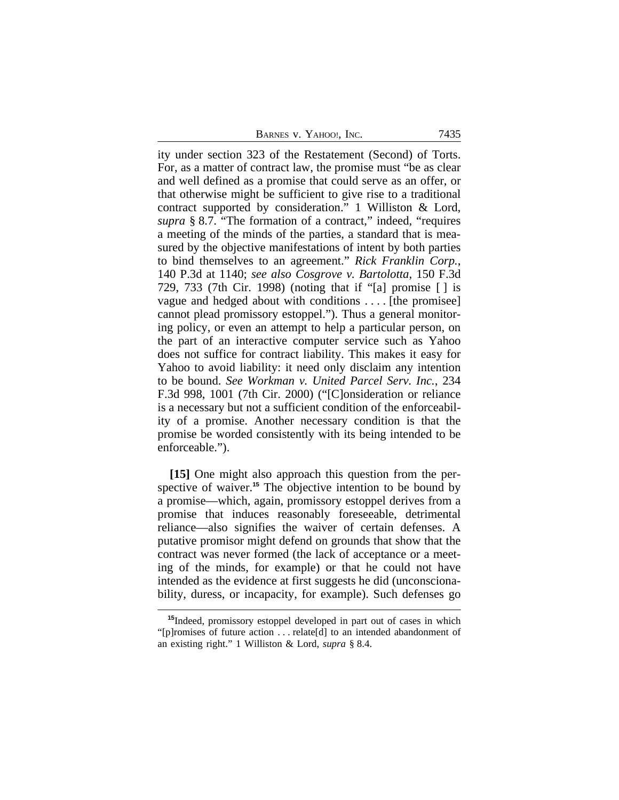BARNES V. YAHOO!, INC. 7435

ity under section 323 of the Restatement (Second) of Torts. For, as a matter of contract law, the promise must "be as clear and well defined as a promise that could serve as an offer, or that otherwise might be sufficient to give rise to a traditional contract supported by consideration." 1 Williston & Lord, *supra* § 8.7. "The formation of a contract," indeed, "requires a meeting of the minds of the parties, a standard that is measured by the objective manifestations of intent by both parties to bind themselves to an agreement." *Rick Franklin Corp.*, 140 P.3d at 1140; *see also Cosgrove v. Bartolotta*, 150 F.3d 729, 733 (7th Cir. 1998) (noting that if "[a] promise [ ] is vague and hedged about with conditions . . . . [the promisee] cannot plead promissory estoppel."). Thus a general monitoring policy, or even an attempt to help a particular person, on the part of an interactive computer service such as Yahoo does not suffice for contract liability. This makes it easy for Yahoo to avoid liability: it need only disclaim any intention to be bound. *See Workman v. United Parcel Serv. Inc.*, 234 F.3d 998, 1001 (7th Cir. 2000) ("[C]onsideration or reliance is a necessary but not a sufficient condition of the enforceability of a promise. Another necessary condition is that the promise be worded consistently with its being intended to be enforceable.").

**[15]** One might also approach this question from the perspective of waiver.<sup>15</sup> The objective intention to be bound by a promise—which, again, promissory estoppel derives from a promise that induces reasonably foreseeable, detrimental reliance—also signifies the waiver of certain defenses. A putative promisor might defend on grounds that show that the contract was never formed (the lack of acceptance or a meeting of the minds, for example) or that he could not have intended as the evidence at first suggests he did (unconscionability, duress, or incapacity, for example). Such defenses go

**<sup>15</sup>**Indeed, promissory estoppel developed in part out of cases in which "[p]romises of future action . . . relate[d] to an intended abandonment of an existing right." 1 Williston & Lord, *supra* § 8.4.